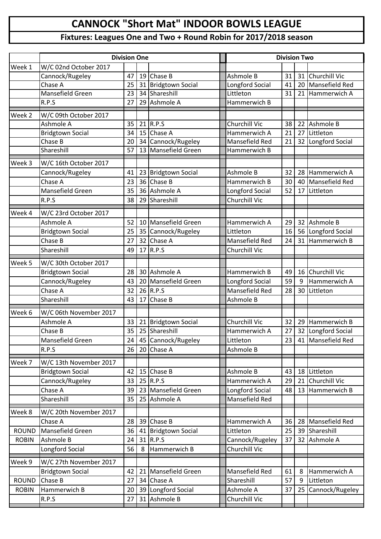## **CANNOCK "Short Mat" INDOOR BOWLS LEAGUE**

## **Fixtures: Leagues One and Two + Round Robin for 2017/2018 season**

|              | <b>Division One</b>         |          |   |                                   |  | <b>Division Two</b>   |    |          |                             |  |
|--------------|-----------------------------|----------|---|-----------------------------------|--|-----------------------|----|----------|-----------------------------|--|
| Week 1       | W/C 02nd October 2017       |          |   |                                   |  |                       |    |          |                             |  |
|              | Cannock/Rugeley             | 47       |   | 19 Chase B                        |  | Ashmole B             | 31 | 31       | <b>Churchill Vic</b>        |  |
|              | Chase A                     | 25       |   | 31 Bridgtown Social               |  | Longford Social       | 41 | 20       | Mansefield Red              |  |
|              | <b>Mansefield Green</b>     | 23       |   | 34 Shareshill                     |  | Littleton             | 31 | 21       | Hammerwich A                |  |
|              | R.P.S                       | 27       |   | 29 Ashmole A                      |  | Hammerwich B          |    |          |                             |  |
| Week 2       | W/C 09th October 2017       |          |   |                                   |  |                       |    |          |                             |  |
|              | Ashmole A                   | 35       |   | $21$ R.P.S                        |  | <b>Churchill Vic</b>  | 38 | 22       | Ashmole B                   |  |
|              | <b>Bridgtown Social</b>     | 34       |   | 15 Chase A                        |  | Hammerwich A          | 21 | 27       | Littleton                   |  |
|              | Chase B                     | 20       |   | 34 Cannock/Rugeley                |  | <b>Mansefield Red</b> | 21 | 32       | Longford Social             |  |
|              | Shareshill                  | 57       |   | 13 Mansefield Green               |  | Hammerwich B          |    |          |                             |  |
| Week 3       |                             |          |   |                                   |  |                       |    |          |                             |  |
|              | W/C 16th October 2017       | 41       |   |                                   |  | Ashmole B             | 32 | 28       | Hammerwich A                |  |
|              | Cannock/Rugeley             |          |   | 23 Bridgtown Social<br>36 Chase B |  |                       |    |          |                             |  |
|              | Chase A<br>Mansefield Green | 23<br>35 |   | 36 Ashmole A                      |  | Hammerwich B          | 30 | 40<br>17 | Mansefield Red<br>Littleton |  |
|              |                             |          |   |                                   |  | Longford Social       | 52 |          |                             |  |
|              | R.P.S                       | 38       |   | 29 Shareshill                     |  | Churchill Vic         |    |          |                             |  |
| Week 4       | W/C 23rd October 2017       |          |   |                                   |  |                       |    |          |                             |  |
|              | Ashmole A                   | 52       |   | 10 Mansefield Green               |  | Hammerwich A          | 29 | 32       | Ashmole B                   |  |
|              | <b>Bridgtown Social</b>     | 25       |   | 35 Cannock/Rugeley                |  | Littleton             | 16 | 56       | Longford Social             |  |
|              | Chase B                     | 27       |   | 32 Chase A                        |  | Mansefield Red        | 24 | 31       | Hammerwich B                |  |
|              | Shareshill                  | 49       |   | $17$ R.P.S                        |  | Churchill Vic         |    |          |                             |  |
| Week 5       | W/C 30th October 2017       |          |   |                                   |  |                       |    |          |                             |  |
|              | <b>Bridgtown Social</b>     | 28       |   | 30 Ashmole A                      |  | Hammerwich B          | 49 | 16       | <b>Churchill Vic</b>        |  |
|              | Cannock/Rugeley             | 43       |   | 20 Mansefield Green               |  | Longford Social       | 59 | 9        | Hammerwich A                |  |
|              | Chase A                     | 32       |   | $26$ R.P.S                        |  | Mansefield Red        | 28 | 30       | Littleton                   |  |
|              | Shareshill                  | 43       |   | 17 Chase B                        |  | Ashmole B             |    |          |                             |  |
| Week 6       | W/C 06th November 2017      |          |   |                                   |  |                       |    |          |                             |  |
|              | Ashmole A                   | 33       |   | 21 Bridgtown Social               |  | Churchill Vic         | 32 | 29       | Hammerwich B                |  |
|              | Chase B                     | 35       |   | 25 Shareshill                     |  | Hammerwich A          | 27 | 32       | Longford Social             |  |
|              | Mansefield Green            |          |   | 24   45 Cannock/Rugeley           |  | Littleton             |    |          | 23   41   Mansefield Red    |  |
|              | R.P.S                       | 26       |   | 20 Chase A                        |  | Ashmole B             |    |          |                             |  |
| Week 7       | W/C 13th November 2017      |          |   |                                   |  |                       |    |          |                             |  |
|              | <b>Bridgtown Social</b>     | 42       |   | 15 Chase B                        |  | Ashmole B             | 43 | 18       | Littleton                   |  |
|              | Cannock/Rugeley             | 33       |   | 25 $R.P.S$                        |  | Hammerwich A          | 29 | 21       | Churchill Vic               |  |
|              | Chase A                     | 39       |   | 23 Mansefield Green               |  | Longford Social       | 48 | 13       | Hammerwich B                |  |
|              | Shareshill                  | 35       |   | 25 Ashmole A                      |  | Mansefield Red        |    |          |                             |  |
| Week 8       | W/C 20th November 2017      |          |   |                                   |  |                       |    |          |                             |  |
|              | Chase A                     | 28       |   | 39 Chase B                        |  | Hammerwich A          | 36 | 28       | Mansefield Red              |  |
| <b>ROUND</b> | Mansefield Green            | 36       |   | 41 Bridgtown Social               |  | Littleton             | 25 | 39       | Shareshill                  |  |
| <b>ROBIN</b> | Ashmole B                   | 24       |   | $31$ R.P.S                        |  | Cannock/Rugeley       | 37 | 32       | Ashmole A                   |  |
|              | Longford Social             | 56       | 8 | Hammerwich B                      |  | Churchill Vic         |    |          |                             |  |
|              |                             |          |   |                                   |  |                       |    |          |                             |  |
| Week 9       | W/C 27th November 2017      |          |   |                                   |  |                       |    |          |                             |  |
|              | <b>Bridgtown Social</b>     | 42       |   | 21 Mansefield Green               |  | Mansefield Red        | 61 | 8        | Hammerwich A                |  |
| <b>ROUND</b> | Chase B                     | 27       |   | 34 Chase A                        |  | Shareshill            | 57 | 9        | Littleton                   |  |
| <b>ROBIN</b> | Hammerwich B                | 20       |   | 39 Longford Social                |  | Ashmole A             | 37 | 25       | Cannock/Rugeley             |  |
|              | R.P.S                       | 27       |   | 31 Ashmole B                      |  | Churchill Vic         |    |          |                             |  |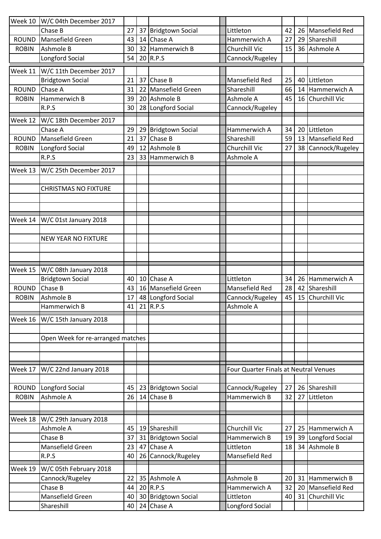| Week 10      | W/C 04th December 2017            |          |          |                                   |                                       |    |    |                   |
|--------------|-----------------------------------|----------|----------|-----------------------------------|---------------------------------------|----|----|-------------------|
|              | Chase B                           | 27       |          | 37 Bridgtown Social               | Littleton                             | 42 |    | 26 Mansefield Red |
| <b>ROUND</b> | Mansefield Green                  | 43       | 14       | Chase A                           | Hammerwich A                          | 27 | 29 | Shareshill        |
| <b>ROBIN</b> | Ashmole B                         | 30       |          | 32 Hammerwich B                   | Churchill Vic                         | 15 |    | 36 Ashmole A      |
|              | Longford Social                   | 54       |          | $20$ R.P.S                        | Cannock/Rugeley                       |    |    |                   |
| Week 11      | W/C 11th December 2017            |          |          |                                   |                                       |    |    |                   |
|              | <b>Bridgtown Social</b>           | 21       | 37       | Chase B                           | Mansefield Red                        | 25 | 40 | Littleton         |
| <b>ROUND</b> | Chase A                           | 31       |          | 22 Mansefield Green               | Shareshill                            | 66 | 14 | Hammerwich A      |
| <b>ROBIN</b> | Hammerwich B                      | 39       |          | 20 Ashmole B                      | Ashmole A                             | 45 |    | 16 Churchill Vic  |
|              | R.P.S                             | 30       |          | 28 Longford Social                | Cannock/Rugeley                       |    |    |                   |
| Week 12      | W/C 18th December 2017            |          |          |                                   |                                       |    |    |                   |
|              | Chase A                           | 29       |          | 29 Bridgtown Social               | Hammerwich A                          | 34 |    | 20 Littleton      |
| <b>ROUND</b> | Mansefield Green                  | 21       | 37       | Chase B                           | Shareshill                            | 59 | 13 | Mansefield Red    |
| <b>ROBIN</b> | Longford Social                   | 49       | 12       | Ashmole B                         | Churchill Vic                         | 27 | 38 | Cannock/Rugeley   |
|              | R.P.S                             | 23       |          | 33 Hammerwich B                   | Ashmole A                             |    |    |                   |
|              | W/C 25th December 2017            |          |          |                                   |                                       |    |    |                   |
| Week 13      |                                   |          |          |                                   |                                       |    |    |                   |
|              | <b>CHRISTMAS NO FIXTURE</b>       |          |          |                                   |                                       |    |    |                   |
|              |                                   |          |          |                                   |                                       |    |    |                   |
|              |                                   |          |          |                                   |                                       |    |    |                   |
| Week 14      | W/C 01st January 2018             |          |          |                                   |                                       |    |    |                   |
|              |                                   |          |          |                                   |                                       |    |    |                   |
|              | <b>NEW YEAR NO FIXTURE</b>        |          |          |                                   |                                       |    |    |                   |
|              |                                   |          |          |                                   |                                       |    |    |                   |
|              |                                   |          |          |                                   |                                       |    |    |                   |
| Week 15      | W/C 08th January 2018             |          |          |                                   |                                       |    |    |                   |
|              |                                   |          |          |                                   |                                       |    |    |                   |
|              |                                   |          |          |                                   |                                       |    |    |                   |
|              | <b>Bridgtown Social</b>           | 40       | 10       | Chase A                           | Littleton                             | 34 | 26 | Hammerwich A      |
| <b>ROUND</b> | Chase B                           | 43       |          | 16 Mansefield Green               | Mansefield Red                        | 28 | 42 | Shareshill        |
| <b>ROBIN</b> | Ashmole B<br>Hammerwich B         | 17       |          | 48 Longford Social<br>41 21 R.P.S | Cannock/Rugeley<br>Ashmole A          | 45 | 15 | Churchill Vic     |
|              |                                   |          |          |                                   |                                       |    |    |                   |
| Week 16      | W/C 15th January 2018             |          |          |                                   |                                       |    |    |                   |
|              |                                   |          |          |                                   |                                       |    |    |                   |
|              | Open Week for re-arranged matches |          |          |                                   |                                       |    |    |                   |
|              |                                   |          |          |                                   |                                       |    |    |                   |
|              |                                   |          |          |                                   |                                       |    |    |                   |
| Week 17      | W/C 22nd January 2018             |          |          |                                   | Four Quarter Finals at Neutral Venues |    |    |                   |
|              |                                   |          |          |                                   |                                       |    |    |                   |
| <b>ROUND</b> | Longford Social                   | 45       |          | 23 Bridgtown Social               | Cannock/Rugeley                       | 27 |    | 26 Shareshill     |
| <b>ROBIN</b> | Ashmole A                         | 26       | 14       | Chase B                           | Hammerwich B                          | 32 | 27 | Littleton         |
|              |                                   |          |          |                                   |                                       |    |    |                   |
| Week 18      | W/C 29th January 2018             |          |          |                                   |                                       |    |    |                   |
|              | Ashmole A                         | 45       |          | 19 Shareshill                     | Churchill Vic                         | 27 | 25 | Hammerwich A      |
|              | Chase B                           | 37       |          | 31 Bridgtown Social               | Hammerwich B                          | 19 | 39 | Longford Social   |
|              | Mansefield Green<br>R.P.S         | 23<br>40 | 47<br>26 | Chase A                           | Littleton                             | 18 |    | 34 Ashmole B      |
|              |                                   |          |          | Cannock/Rugeley                   | Mansefield Red                        |    |    |                   |
| Week 19      | W/C 05th February 2018            |          |          |                                   |                                       |    |    |                   |
|              | Cannock/Rugeley                   | 22       |          | 35 Ashmole A                      | Ashmole B                             | 20 | 31 | Hammerwich B      |
|              | Chase B                           | 44       |          | 20 R.P.S                          | Hammerwich A                          | 32 | 20 | Mansefield Red    |
|              | Mansefield Green<br>Shareshill    | 40<br>40 |          | 30 Bridgtown Social<br>24 Chase A | Littleton<br>Longford Social          | 40 | 31 | Churchill Vic     |